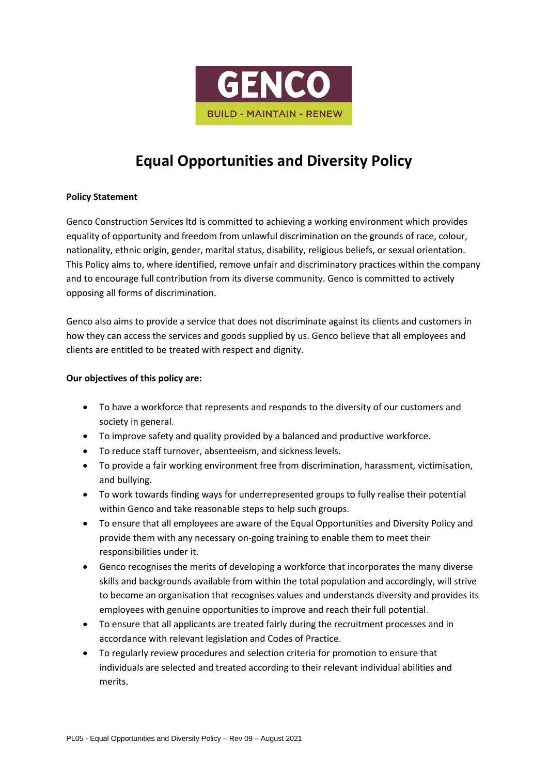

# **Equal Opportunities and Diversity Policy**

# **Policy Statement**

Genco Construction Services ltd is committed to achieving a working environment which provides equality of opportunity and freedom from unlawful discrimination on the grounds of race, colour, nationality, ethnic origin, gender, marital status, disability, religious beliefs, or sexual orientation. This Policy aims to, where identified, remove unfair and discriminatory practices within the company and to encourage full contribution from its diverse community. Genco is committed to actively opposing all forms of discrimination.

Genco also aims to provide a service that does not discriminate against its clients and customers in how they can access the services and goods supplied by us. Genco believe that all employees and clients are entitled to be treated with respect and dignity.

# **Our objectives of this policy are:**

- To have a workforce that represents and responds to the diversity of our customers and society in general.
- To improve safety and quality provided by a balanced and productive workforce.
- To reduce staff turnover, absenteeism, and sickness levels.
- To provide a fair working environment free from discrimination, harassment, victimisation, and bullying.
- To work towards finding ways for underrepresented groups to fully realise their potential within Genco and take reasonable steps to help such groups.
- To ensure that all employees are aware of the Equal Opportunities and Diversity Policy and provide them with any necessary on-going training to enable them to meet their responsibilities under it.
- Genco recognises the merits of developing a workforce that incorporates the many diverse skills and backgrounds available from within the total population and accordingly, will strive to become an organisation that recognises values and understands diversity and provides its employees with genuine opportunities to improve and reach their full potential.
- To ensure that all applicants are treated fairly during the recruitment processes and in accordance with relevant legislation and Codes of Practice.
- To regularly review procedures and selection criteria for promotion to ensure that individuals are selected and treated according to their relevant individual abilities and merits.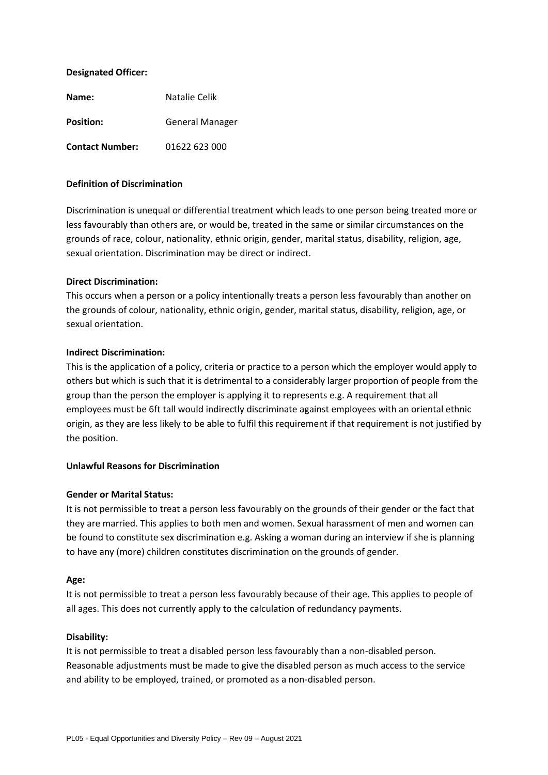## **Designated Officer:**

| Name:                  | Natalie Celik          |
|------------------------|------------------------|
| <b>Position:</b>       | <b>General Manager</b> |
| <b>Contact Number:</b> | 01622 623 000          |

## **Definition of Discrimination**

Discrimination is unequal or differential treatment which leads to one person being treated more or less favourably than others are, or would be, treated in the same or similar circumstances on the grounds of race, colour, nationality, ethnic origin, gender, marital status, disability, religion, age, sexual orientation. Discrimination may be direct or indirect.

## **Direct Discrimination:**

This occurs when a person or a policy intentionally treats a person less favourably than another on the grounds of colour, nationality, ethnic origin, gender, marital status, disability, religion, age, or sexual orientation.

## **Indirect Discrimination:**

This is the application of a policy, criteria or practice to a person which the employer would apply to others but which is such that it is detrimental to a considerably larger proportion of people from the group than the person the employer is applying it to represents e.g. A requirement that all employees must be 6ft tall would indirectly discriminate against employees with an oriental ethnic origin, as they are less likely to be able to fulfil this requirement if that requirement is not justified by the position.

## **Unlawful Reasons for Discrimination**

## **Gender or Marital Status:**

It is not permissible to treat a person less favourably on the grounds of their gender or the fact that they are married. This applies to both men and women. Sexual harassment of men and women can be found to constitute sex discrimination e.g. Asking a woman during an interview if she is planning to have any (more) children constitutes discrimination on the grounds of gender.

## **Age:**

It is not permissible to treat a person less favourably because of their age. This applies to people of all ages. This does not currently apply to the calculation of redundancy payments.

#### **Disability:**

It is not permissible to treat a disabled person less favourably than a non-disabled person. Reasonable adjustments must be made to give the disabled person as much access to the service and ability to be employed, trained, or promoted as a non-disabled person.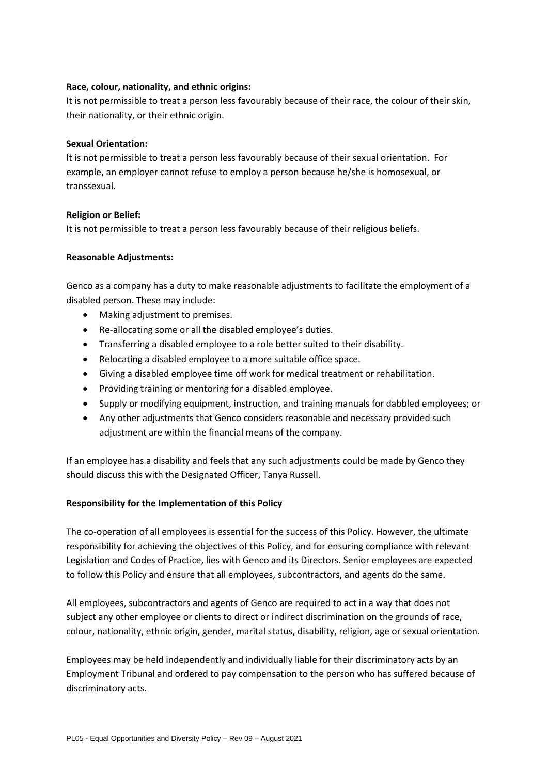# **Race, colour, nationality, and ethnic origins:**

It is not permissible to treat a person less favourably because of their race, the colour of their skin, their nationality, or their ethnic origin.

# **Sexual Orientation:**

It is not permissible to treat a person less favourably because of their sexual orientation. For example, an employer cannot refuse to employ a person because he/she is homosexual, or transsexual.

# **Religion or Belief:**

It is not permissible to treat a person less favourably because of their religious beliefs.

# **Reasonable Adjustments:**

Genco as a company has a duty to make reasonable adjustments to facilitate the employment of a disabled person. These may include:

- Making adjustment to premises.
- Re-allocating some or all the disabled employee's duties.
- Transferring a disabled employee to a role better suited to their disability.
- Relocating a disabled employee to a more suitable office space.
- Giving a disabled employee time off work for medical treatment or rehabilitation.
- Providing training or mentoring for a disabled employee.
- Supply or modifying equipment, instruction, and training manuals for dabbled employees; or
- Any other adjustments that Genco considers reasonable and necessary provided such adjustment are within the financial means of the company.

If an employee has a disability and feels that any such adjustments could be made by Genco they should discuss this with the Designated Officer, Tanya Russell.

# **Responsibility for the Implementation of this Policy**

The co-operation of all employees is essential for the success of this Policy. However, the ultimate responsibility for achieving the objectives of this Policy, and for ensuring compliance with relevant Legislation and Codes of Practice, lies with Genco and its Directors. Senior employees are expected to follow this Policy and ensure that all employees, subcontractors, and agents do the same.

All employees, subcontractors and agents of Genco are required to act in a way that does not subject any other employee or clients to direct or indirect discrimination on the grounds of race, colour, nationality, ethnic origin, gender, marital status, disability, religion, age or sexual orientation.

Employees may be held independently and individually liable for their discriminatory acts by an Employment Tribunal and ordered to pay compensation to the person who has suffered because of discriminatory acts.